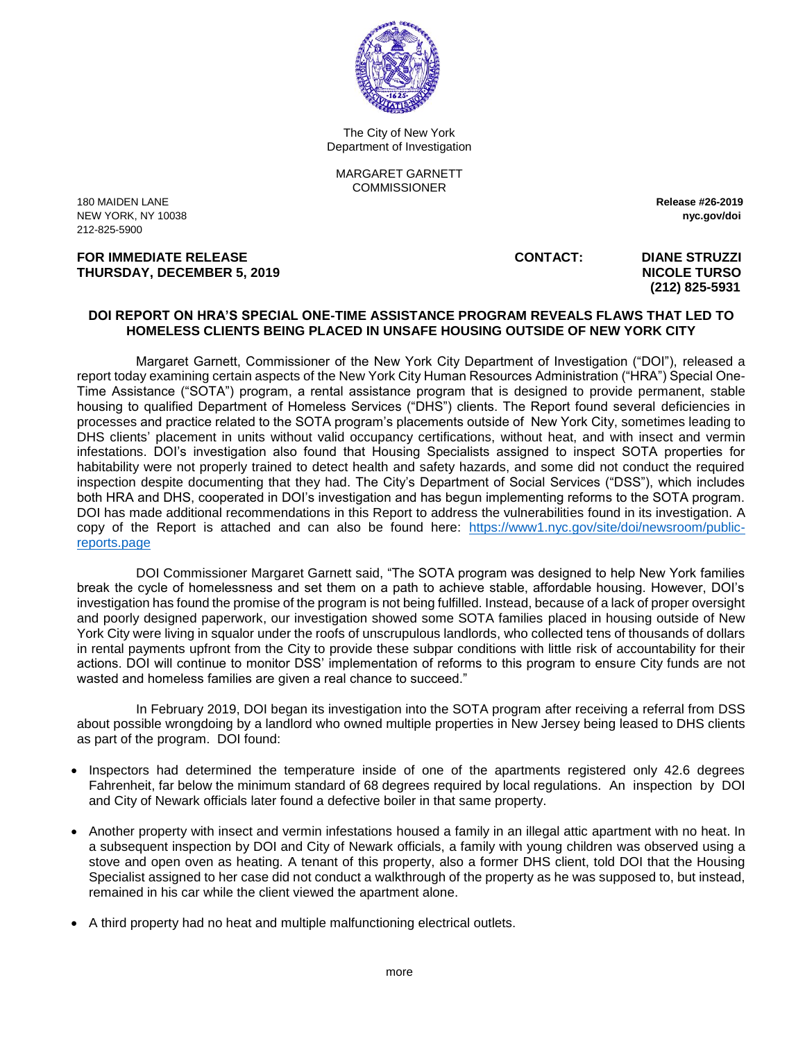

The City of New York Department of Investigation

MARGARET GARNETT **COMMISSIONER** 

180 MAIDEN LANE **Release #26-2019** NEW YORK, NY 10038 **nyc.gov/doi** 212-825-5900

**FOR IMMEDIATE RELEASE CONTACT: DIANE STRUZZI THURSDAY, DECEMBER 5, 2019** NICOLE TURSO

 **(212) 825-5931**

## **DOI REPORT ON HRA'S SPECIAL ONE-TIME ASSISTANCE PROGRAM REVEALS FLAWS THAT LED TO HOMELESS CLIENTS BEING PLACED IN UNSAFE HOUSING OUTSIDE OF NEW YORK CITY**

Margaret Garnett, Commissioner of the New York City Department of Investigation ("DOI"), released a report today examining certain aspects of the New York City Human Resources Administration ("HRA") Special One-Time Assistance ("SOTA") program, a rental assistance program that is designed to provide permanent, stable housing to qualified Department of Homeless Services ("DHS") clients. The Report found several deficiencies in processes and practice related to the SOTA program's placements outside of New York City, sometimes leading to DHS clients' placement in units without valid occupancy certifications, without heat, and with insect and vermin infestations. DOI's investigation also found that Housing Specialists assigned to inspect SOTA properties for habitability were not properly trained to detect health and safety hazards, and some did not conduct the required inspection despite documenting that they had. The City's Department of Social Services ("DSS"), which includes both HRA and DHS, cooperated in DOI's investigation and has begun implementing reforms to the SOTA program. DOI has made additional recommendations in this Report to address the vulnerabilities found in its investigation. A copy of the Report is attached and can also be found here: [https://www1.nyc.gov/site/doi/newsroom/public](https://www1.nyc.gov/site/doi/newsroom/public-reports.page)[reports.page](https://www1.nyc.gov/site/doi/newsroom/public-reports.page)

DOI Commissioner Margaret Garnett said, "The SOTA program was designed to help New York families break the cycle of homelessness and set them on a path to achieve stable, affordable housing. However, DOI's investigation has found the promise of the program is not being fulfilled. Instead, because of a lack of proper oversight and poorly designed paperwork, our investigation showed some SOTA families placed in housing outside of New York City were living in squalor under the roofs of unscrupulous landlords, who collected tens of thousands of dollars in rental payments upfront from the City to provide these subpar conditions with little risk of accountability for their actions. DOI will continue to monitor DSS' implementation of reforms to this program to ensure City funds are not wasted and homeless families are given a real chance to succeed."

In February 2019, DOI began its investigation into the SOTA program after receiving a referral from DSS about possible wrongdoing by a landlord who owned multiple properties in New Jersey being leased to DHS clients as part of the program. DOI found:

- Inspectors had determined the temperature inside of one of the apartments registered only 42.6 degrees Fahrenheit, far below the minimum standard of 68 degrees required by local regulations. An inspection by DOI and City of Newark officials later found a defective boiler in that same property.
- Another property with insect and vermin infestations housed a family in an illegal attic apartment with no heat. In a subsequent inspection by DOI and City of Newark officials, a family with young children was observed using a stove and open oven as heating. A tenant of this property, also a former DHS client, told DOI that the Housing Specialist assigned to her case did not conduct a walkthrough of the property as he was supposed to, but instead, remained in his car while the client viewed the apartment alone.
- A third property had no heat and multiple malfunctioning electrical outlets.